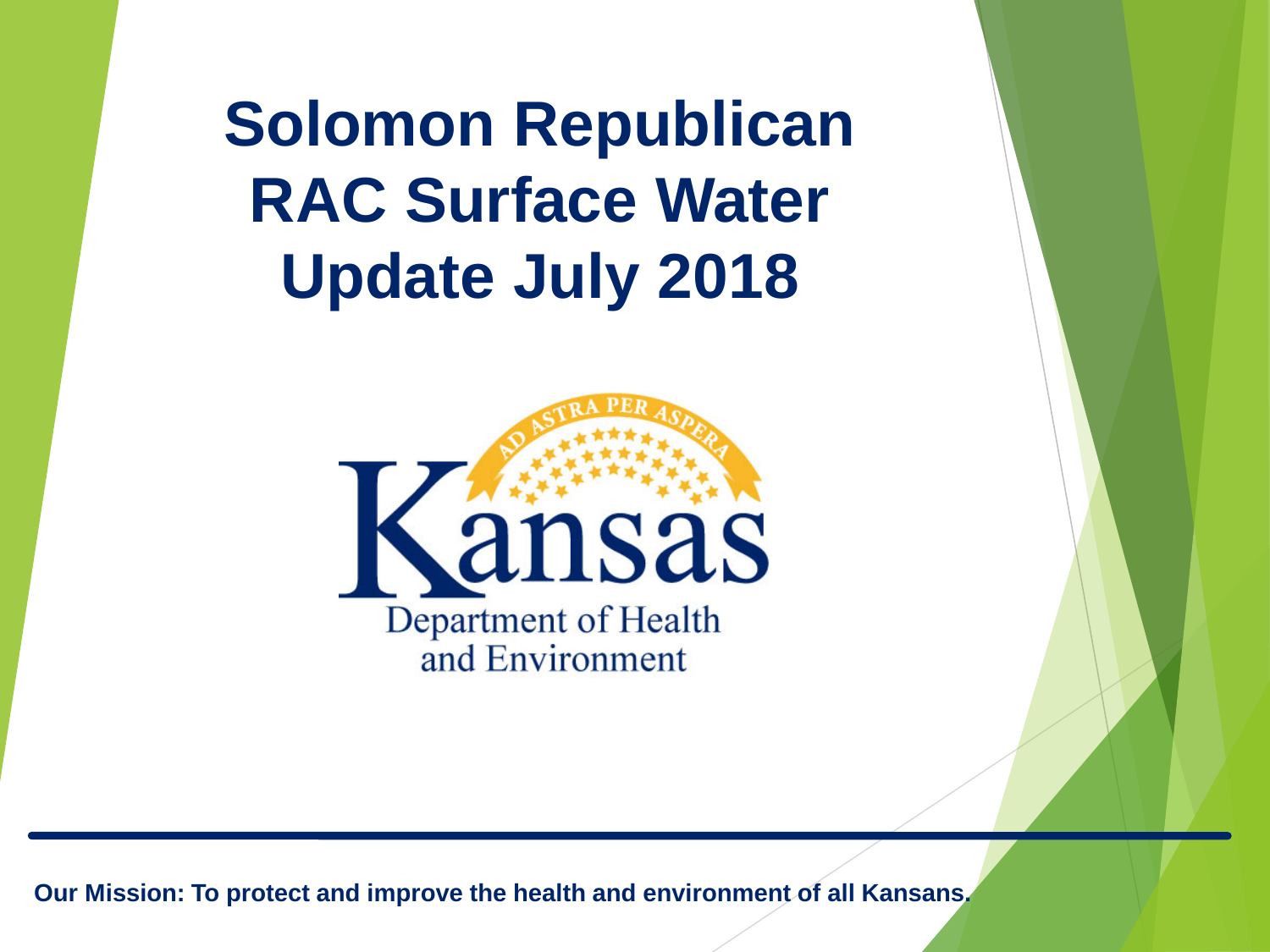**Solomon Republican RAC Surface Water Update July 2018**

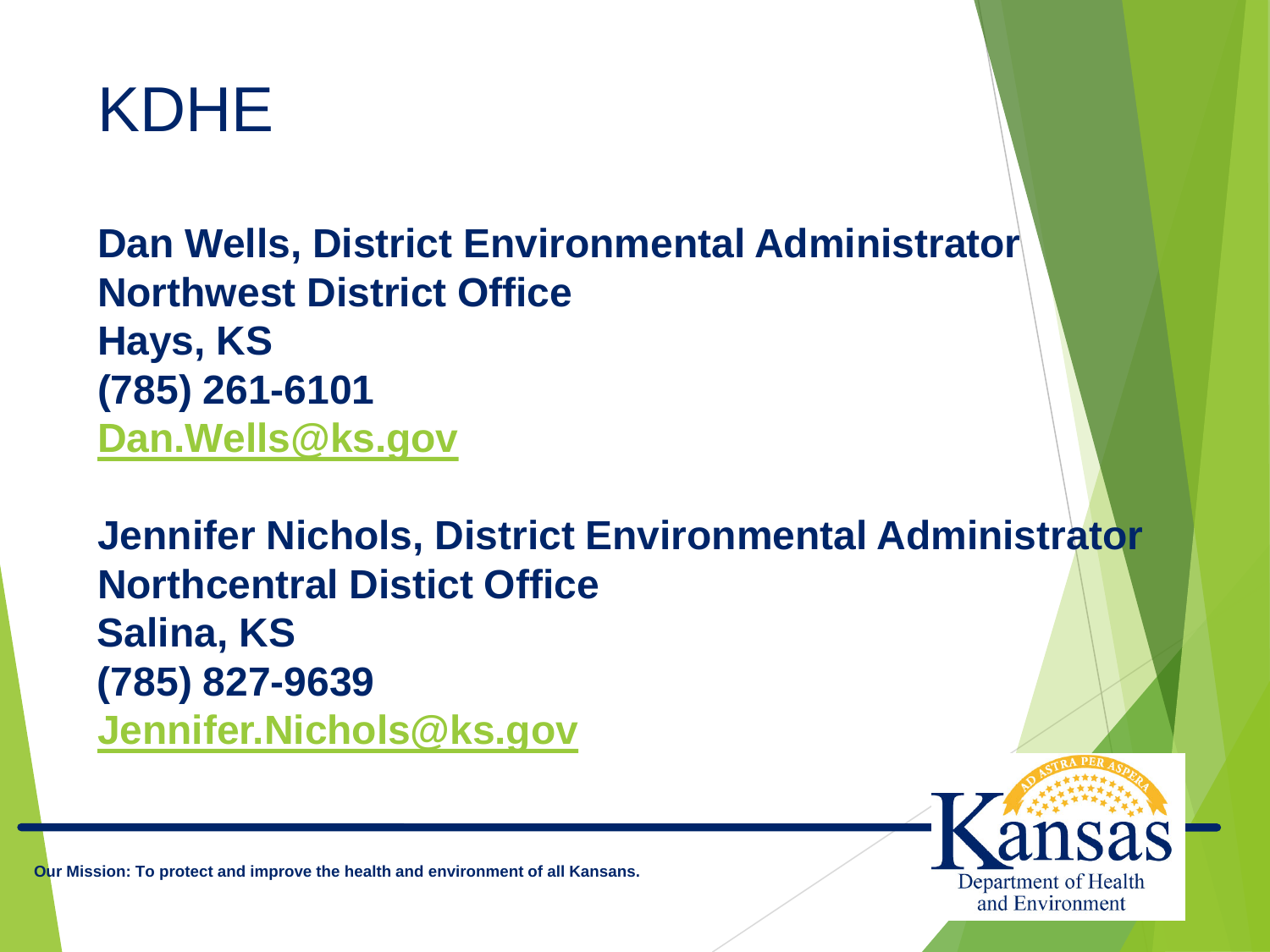

**Dan Wells, District Environmental Administrator Northwest District Office Hays, KS (785) 261-6101 [Dan.Wells@ks.gov](mailto:Dan.Wells@ks.gov)**

**Jennifer Nichols, District Environmental Administrator Northcentral Distict Office Salina, KS (785) 827-9639 [Jennifer.Nichols@ks.gov](mailto:Jennifer.Nichols@ks.gov)**

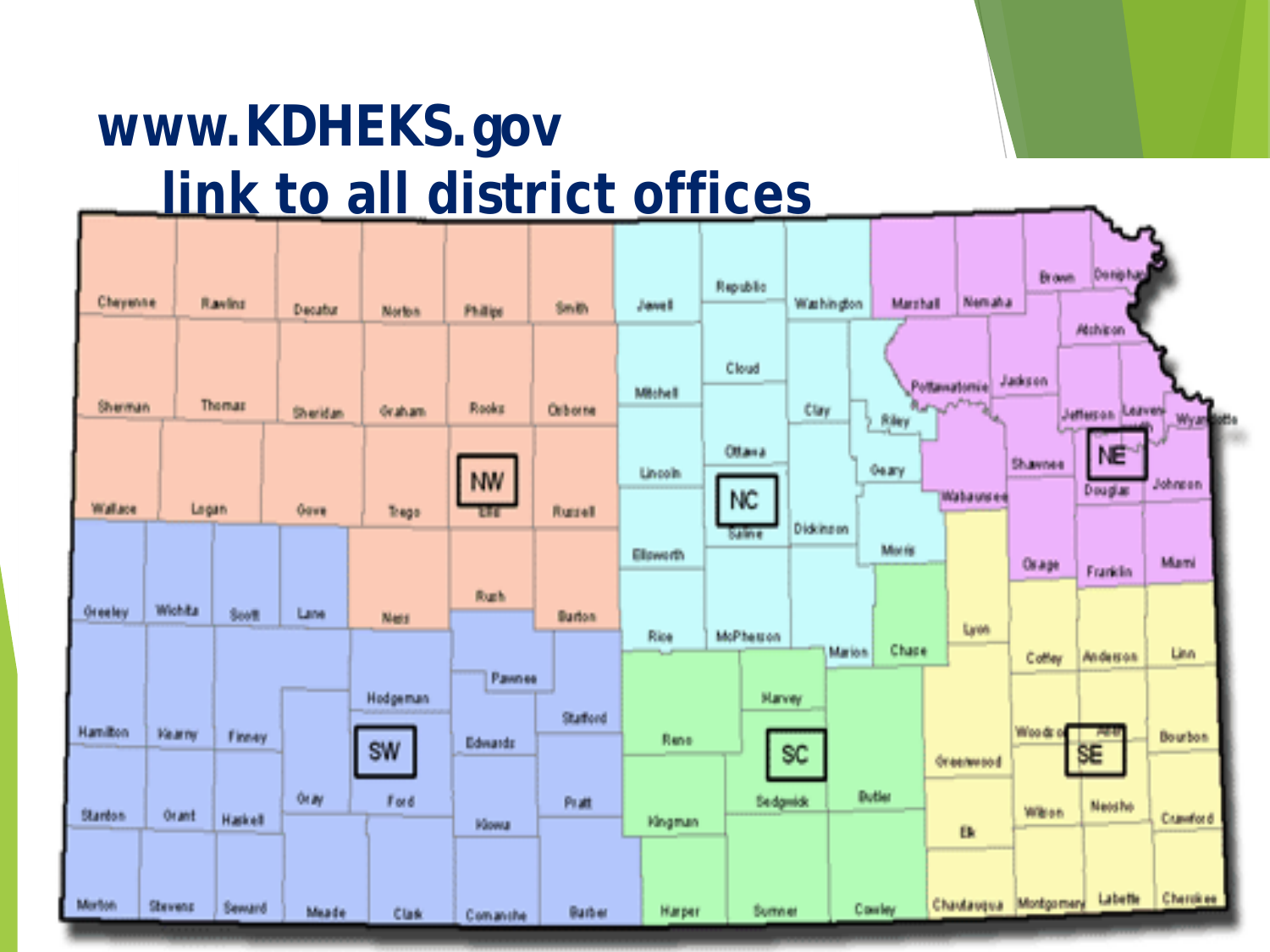## **www.KDHEKS.gov link to all district offices**

| Cheyenne        |              | Raving        | Decutor   | Norton.          | Philips                         | 5mB          | Javel      | Republic                 | Warhington  | Marrhall     | <b>Nematia</b>                   | Brown.                | n a<br>Denishan                     |                      |
|-----------------|--------------|---------------|-----------|------------------|---------------------------------|--------------|------------|--------------------------|-------------|--------------|----------------------------------|-----------------------|-------------------------------------|----------------------|
| Shannan         |              | Thomas        | Sheridan. | de aluan-        | <b>Rooks</b>                    | Orborse      | Mitchell   | Cloud                    | <b>Clay</b> | <b>Rikey</b> | Pottawatomie<br><b>Rangeling</b> | Jadgen                | <b>Atchicon</b><br>Jefferson Leaves | <b>Myan</b><br>istis |
| Wallace         | Legan        |               | Gave      | Thega            | <b>NW</b><br>19 O               | Russell      | Lincoln.   | Otava<br>NC <sub>1</sub> |             | <b>Geary</b> | Walausee                         | Shawnee               | NE <sup>-1</sup><br>Deuglas         | <b>Johnson</b>       |
| <b>Oreeley</b>  | Wichita      | <b>South</b>  | Lares     |                  | <b>Buch</b>                     |              | Ellowarth. | king                     | Diddingen   | Morris       |                                  | Orage                 | Franklin                            | Marsi                |
|                 |              |               |           | Ness<br>Hodgeman | Passness<br>and the contract of | <b>Budon</b> | Rise       | McPhesson<br>Manney      | Marion      | Chape        | Lyse.                            | Cottey                | Anderson                            | Linn                 |
| <b>Hamilton</b> | <b>Veams</b> | Finany        |           | <b>SW</b>        | Edwards                         | Stationd     | Rene       |                          | SC.         |              | dreament                         | 道的作                   | SE                                  | <b>Bourbon</b>       |
| Stanton.        | Orant        | Haskell       | 90R       | <b>Ford</b>      | <b>Nowa</b>                     | 作准           | Kingman    | <b>Bedgwick</b>          |             | Butler       | <b>IB</b>                        | <b>William</b>        | <b>Neishe</b>                       | Crawford             |
| Martists        | Stevens      | <b>Seward</b> | Meade     | Class            | Committee:                      | Burber       | Harper     | Sumner                   |             | Conter       |                                  | Chautauqua Montgomery | Labette                             | Cherchee             |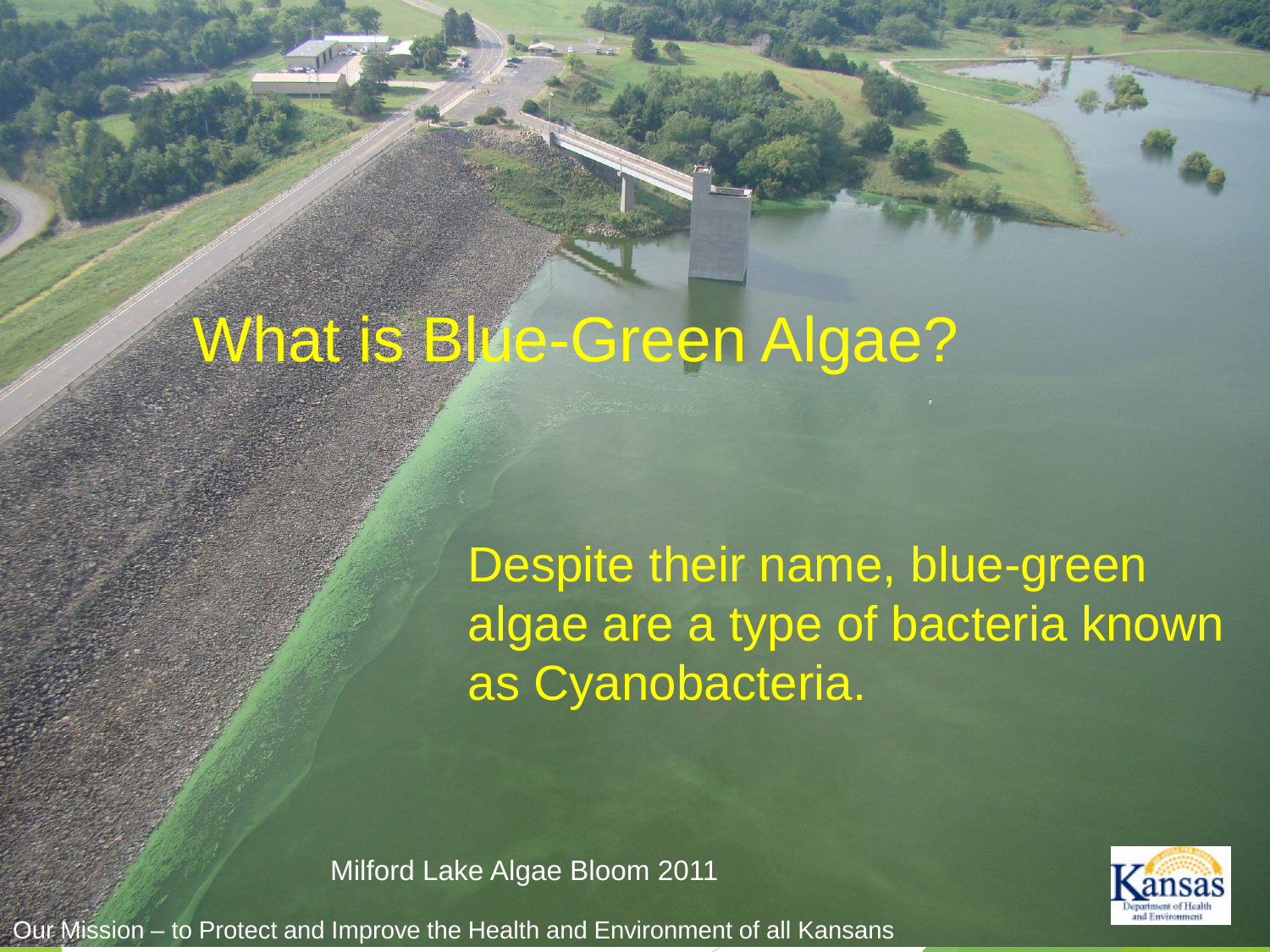# What is Blue-Green Algae?

Despite their name, blue-green algae are a type of bacteria known as Cyanobacteria.

Milford Lake Algae Bloom 2011

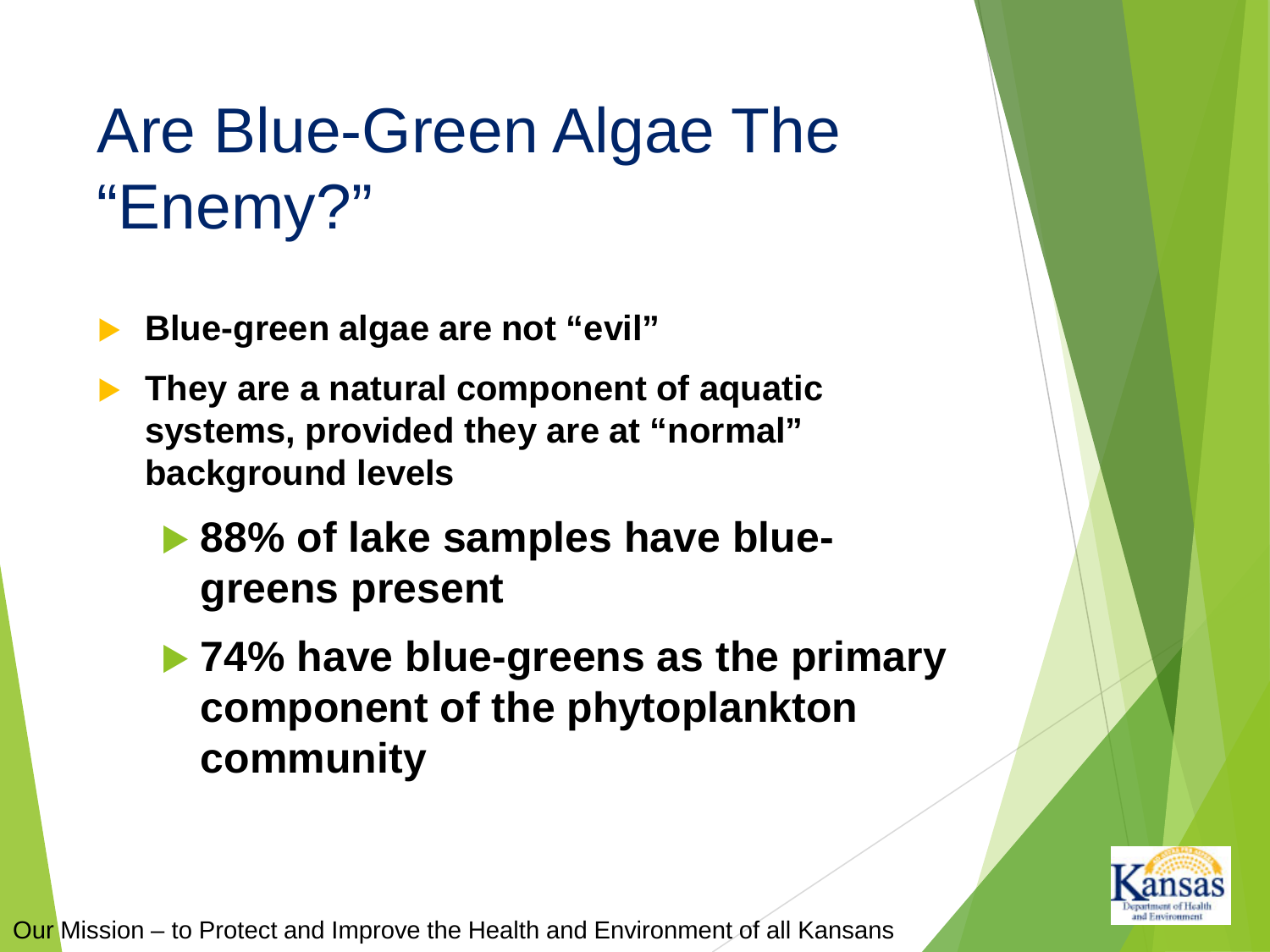# Are Blue-Green Algae The "Enemy?"

- **Blue-green algae are not "evil"**
- **They are a natural component of aquatic systems, provided they are at "normal" background levels**
	- **▶ 88% of lake samples have bluegreens present**
	- **74% have blue-greens as the primary component of the phytoplankton community**

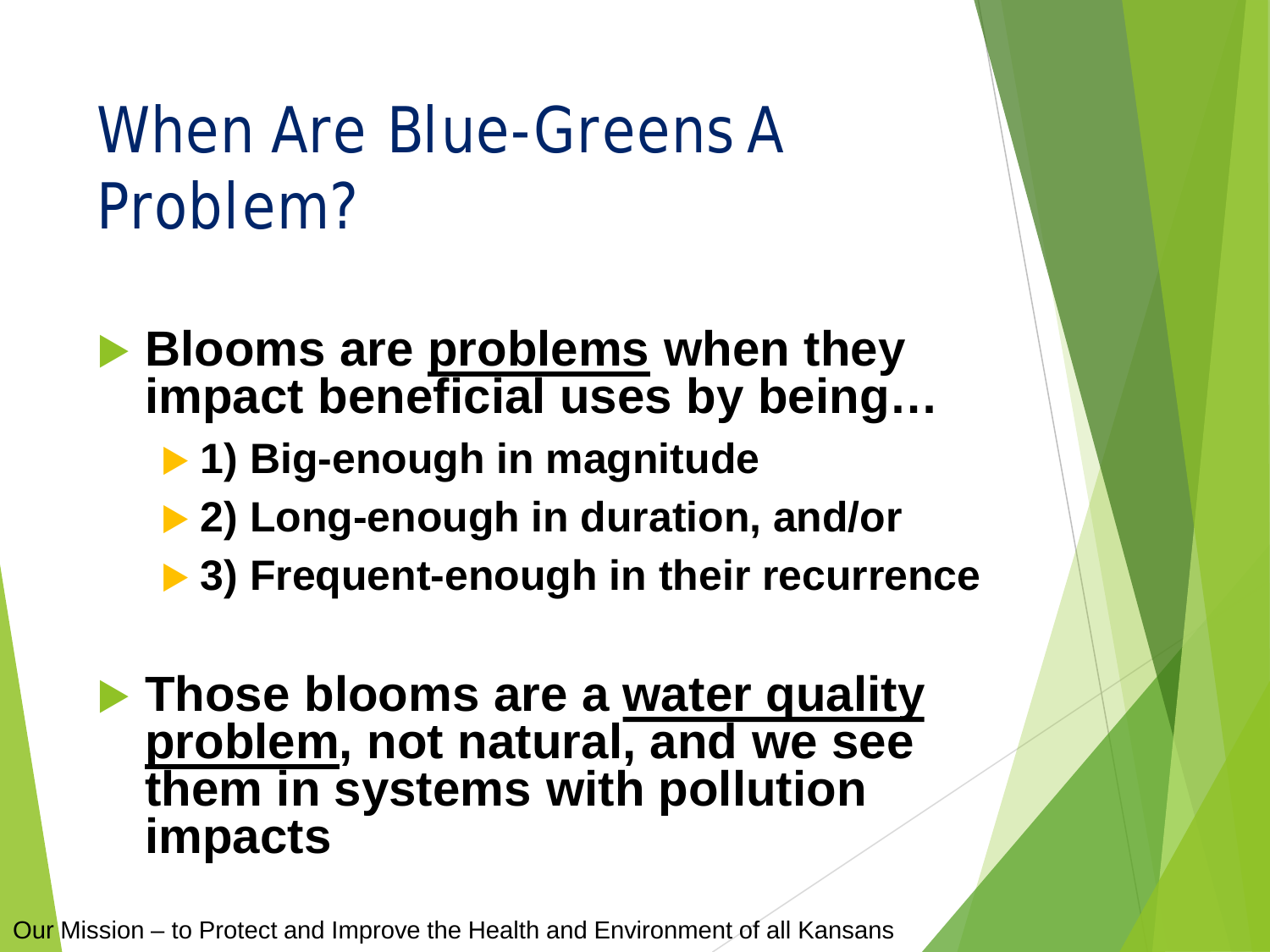# When Are Blue-Greens A Problem?

 **Blooms are problems when they impact beneficial uses by being…**

- **1) Big-enough in magnitude**
- **2) Long-enough in duration, and/or**
- **3) Frequent-enough in their recurrence**

#### **Those blooms are a water quality problem, not natural, and we see them in systems with pollution impacts**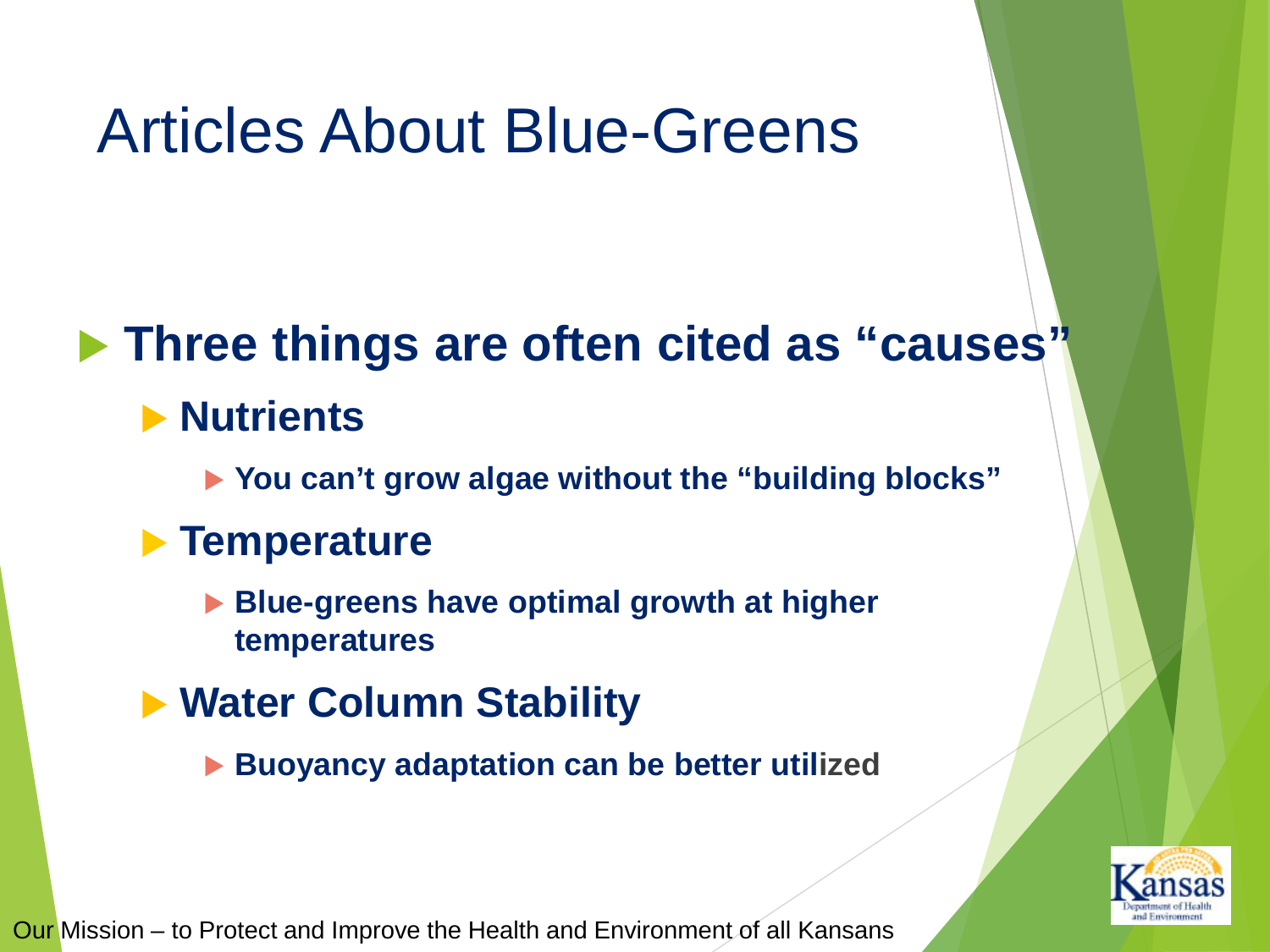## Articles About Blue-Greens

### **Three things are often cited as "causes"**

- **Nutrients** 
	- **You can't grow algae without the "building blocks"**
- **Temperature**
	- **Blue-greens have optimal growth at higher temperatures**
- **Water Column Stability**
	- **Buoyancy adaptation can be better utilized**

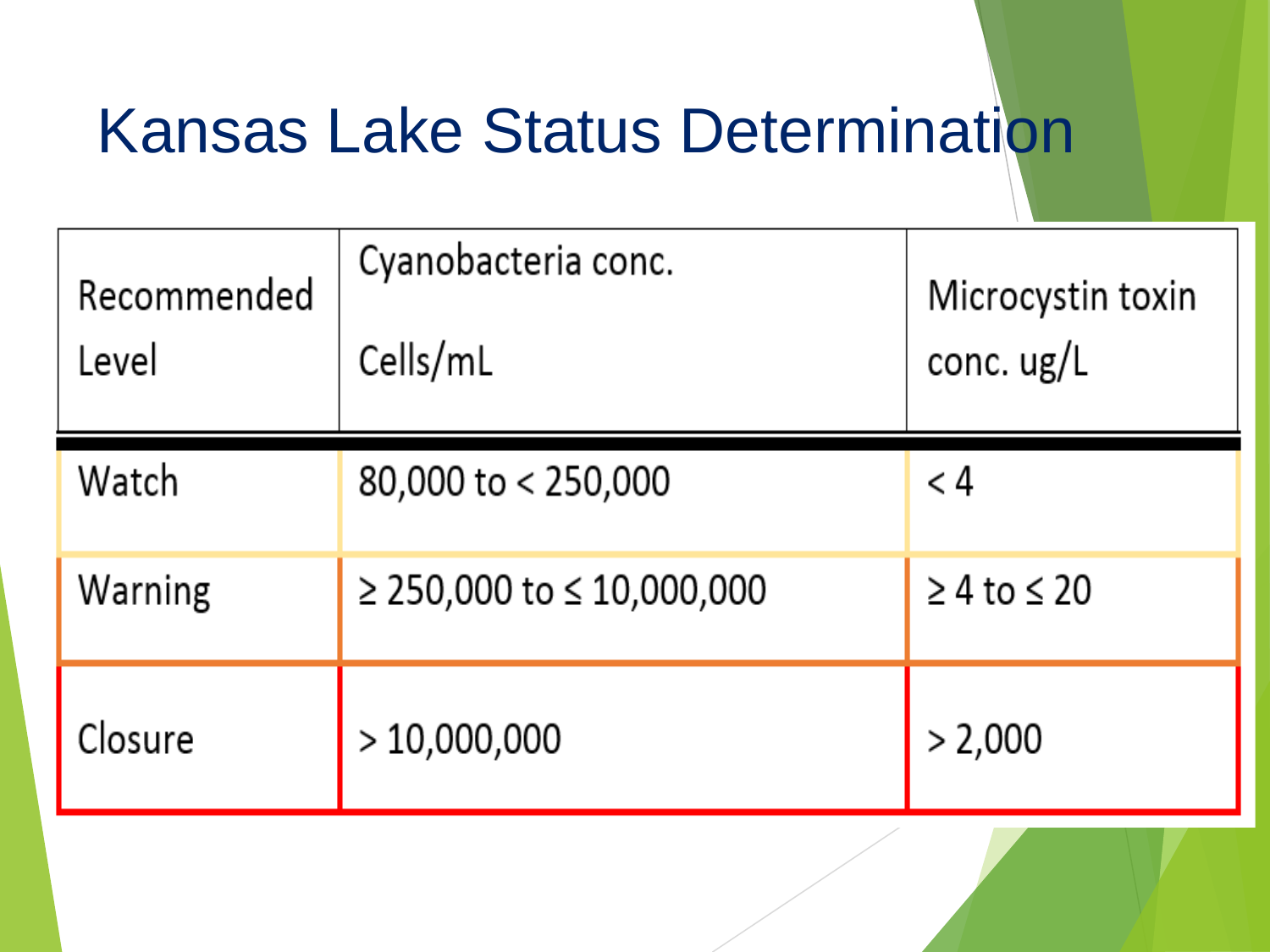# Kansas Lake Status Determination

| Recommended<br>Level | Cyanobacteria conc.<br>Cells/mL | Microcystin toxin<br>conc. $\frac{u}{c}$ |
|----------------------|---------------------------------|------------------------------------------|
| Watch                | 80,000 to < 250,000             | < 4                                      |
| Warning              | $≥ 250,000$ to ≤ 10,000,000     | $\geq 4$ to $\leq 20$                    |
| Closure              | >10,000,000                     | > 2,000                                  |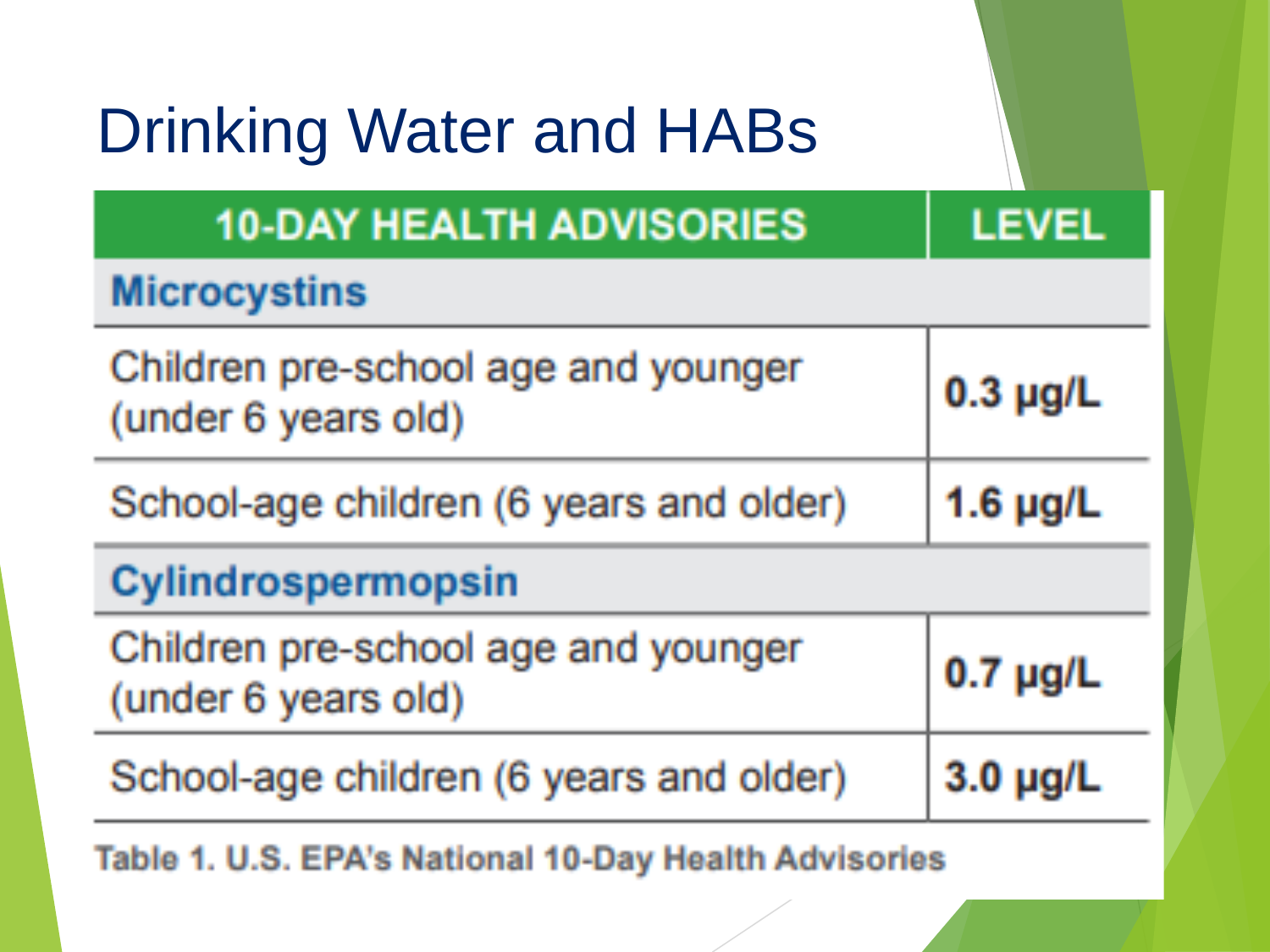| <b>Drinking Water and HABs</b>                             |               |  |  |  |  |
|------------------------------------------------------------|---------------|--|--|--|--|
| <b>10-DAY HEALTH ADVISORIES</b>                            | <b>LEVEL</b>  |  |  |  |  |
| <b>Microcystins</b>                                        |               |  |  |  |  |
| Children pre-school age and younger<br>(under 6 years old) | $0.3$ µg/L    |  |  |  |  |
| School-age children (6 years and older)                    | $1.6 \mu$ g/L |  |  |  |  |
| Cylindrospermopsin                                         |               |  |  |  |  |
| Children pre-school age and younger<br>(under 6 years old) | $0.7 \mu$ g/L |  |  |  |  |
| School-age children (6 years and older)                    | $3.0 \mu$ g/L |  |  |  |  |
| Table 1. U.S. EPA's National 10-Dav Health Advisories      |               |  |  |  |  |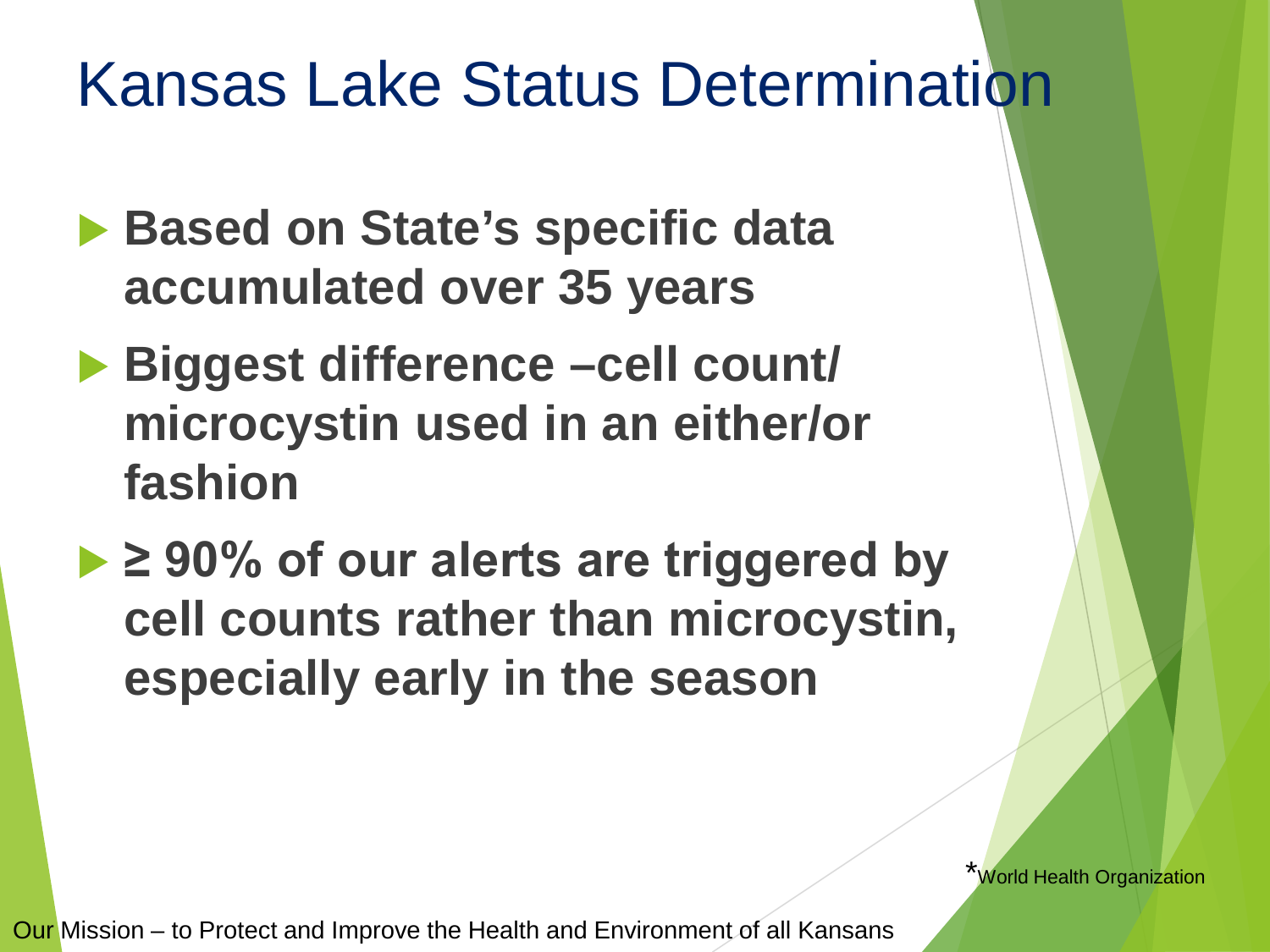## Kansas Lake Status Determination

- **▶ Based on State's specific data accumulated over 35 years**
- **Biggest difference –cell count/ microcystin used in an either/or fashion**
- **≥ 90% of our alerts are triggered by cell counts rather than microcystin, especially early in the season**

**World Health Organization**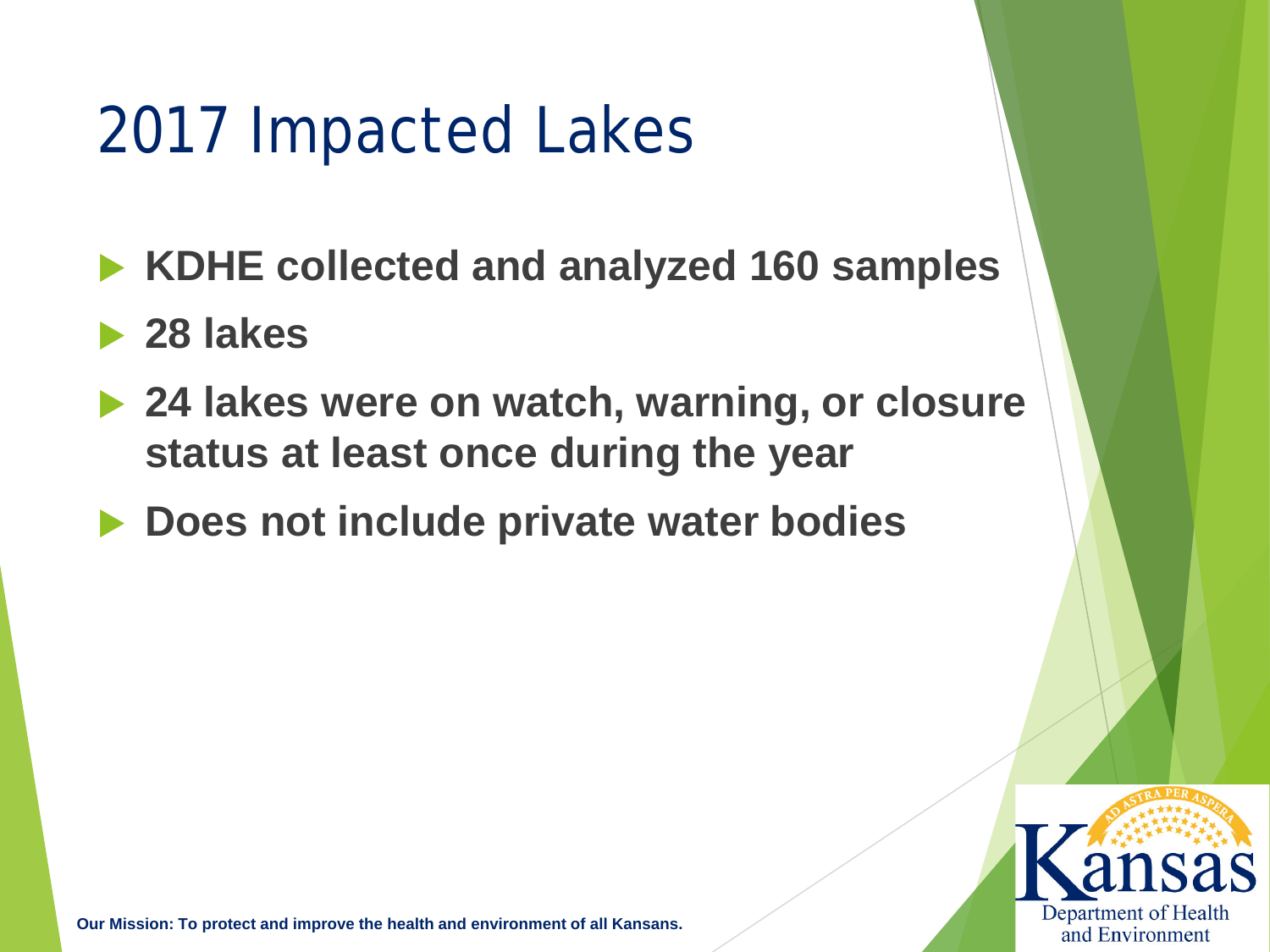## 2017 Impacted Lakes

- **KDHE collected and analyzed 160 samples**
- **28 lakes**
- **▶ 24 lakes were on watch, warning, or closure status at least once during the year**
	- **Does not include private water bodies**

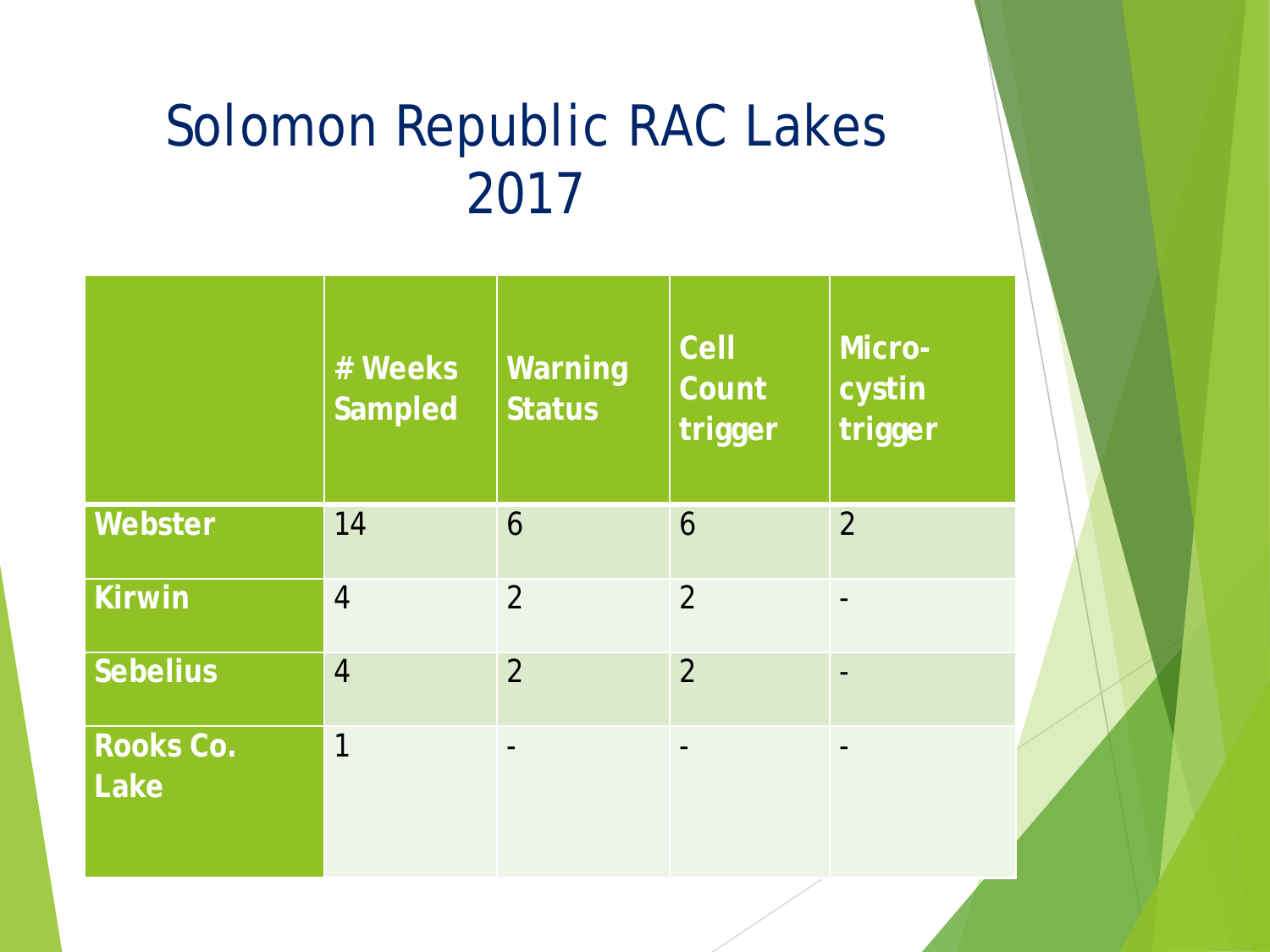## Solomon Republic RAC Lakes 2017

|                   | # Weeks<br><b>Sampled</b> | Warning<br><b>Status</b> | Cell<br>Count<br>trigger | Micro-<br>cystin<br>trigger |
|-------------------|---------------------------|--------------------------|--------------------------|-----------------------------|
| Webster           | 14                        | 6                        | 6                        | $\overline{2}$              |
| <b>Kirwin</b>     | $\overline{4}$            | $\overline{2}$           | $\overline{2}$           |                             |
| <b>Sebelius</b>   | $\overline{4}$            | $\overline{2}$           | $\overline{2}$           |                             |
| Rooks Co.<br>Lake | 1                         |                          |                          |                             |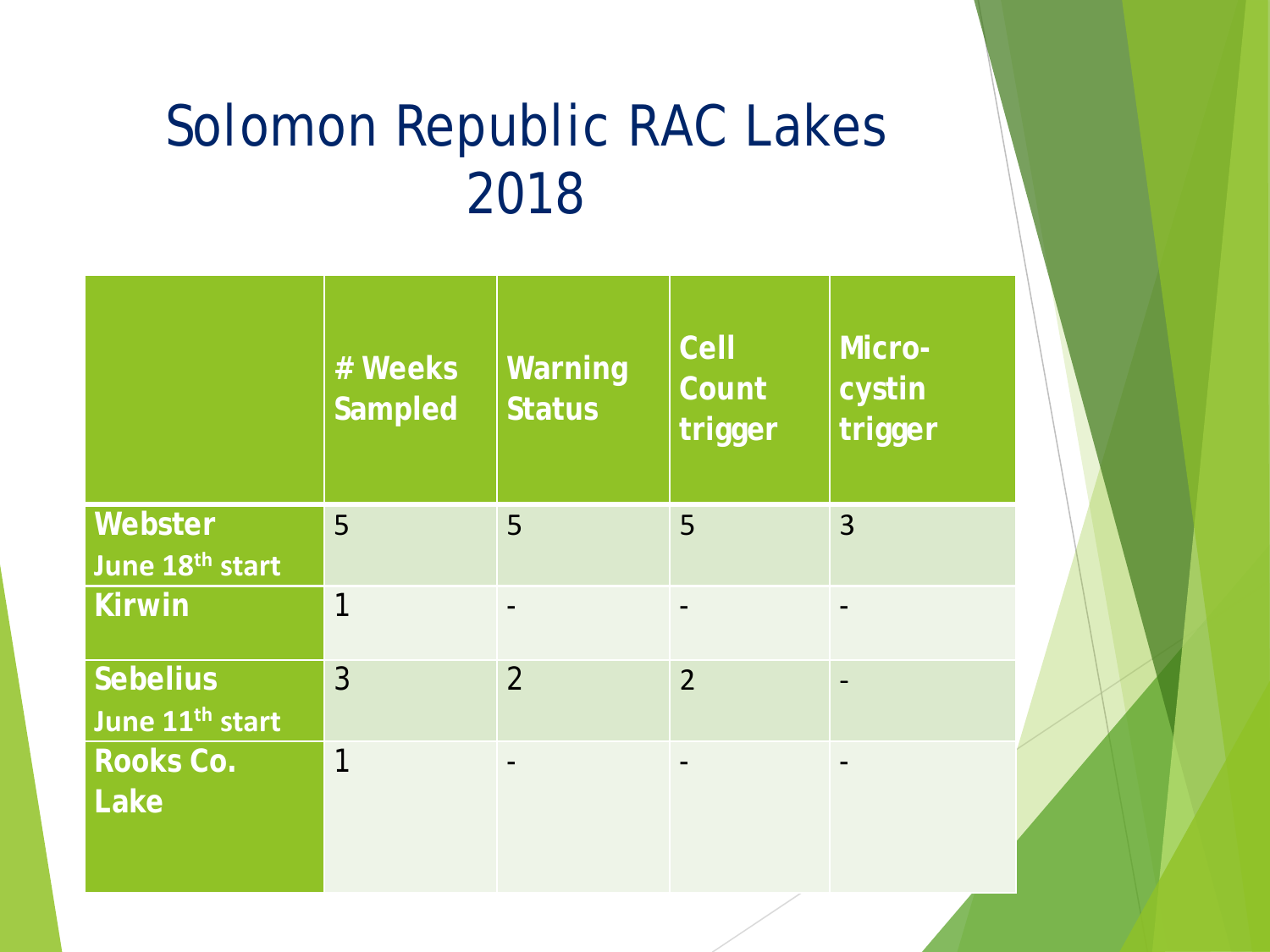## Solomon Republic RAC Lakes 2018

|                                                | # Weeks<br><b>Sampled</b> | Warning<br><b>Status</b> | <b>Cell</b><br>Count<br>trigger | Micro-<br>cystin<br>trigger |
|------------------------------------------------|---------------------------|--------------------------|---------------------------------|-----------------------------|
| Webster<br>June 18 <sup>th</sup> start         | 5                         | 5                        | 5                               | $\overline{3}$              |
| <b>Kirwin</b>                                  | 1                         |                          |                                 |                             |
| <b>Sebelius</b><br>June 11 <sup>th</sup> start | $\overline{3}$            | $\overline{2}$           | $\overline{2}$                  |                             |
| Rooks Co.<br>Lake                              | 1                         |                          |                                 |                             |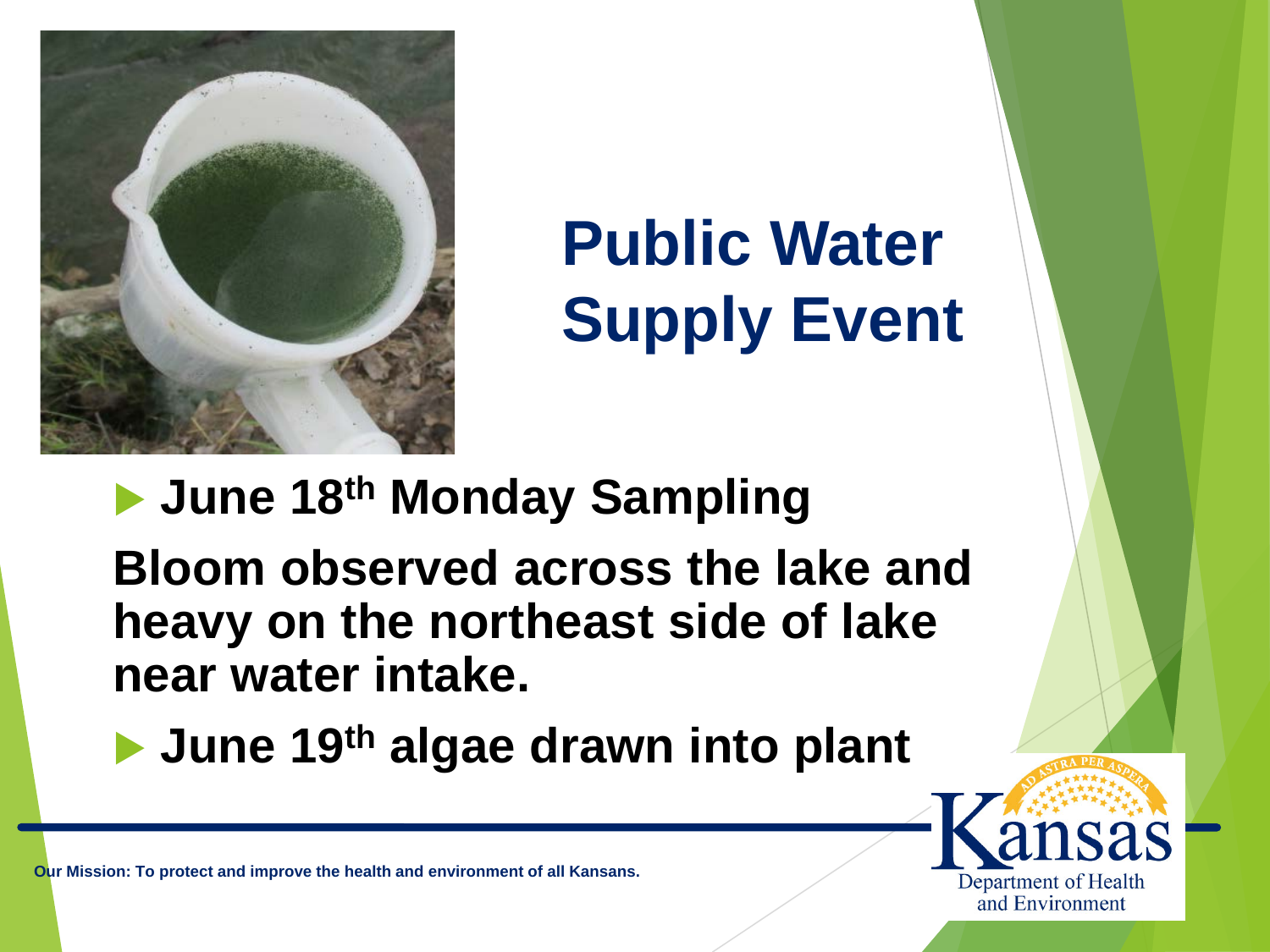

 **June 18th Monday Sampling Bloom observed across the lake and heavy on the northeast side of lake near water intake.**

**June 19th algae drawn into plant** 

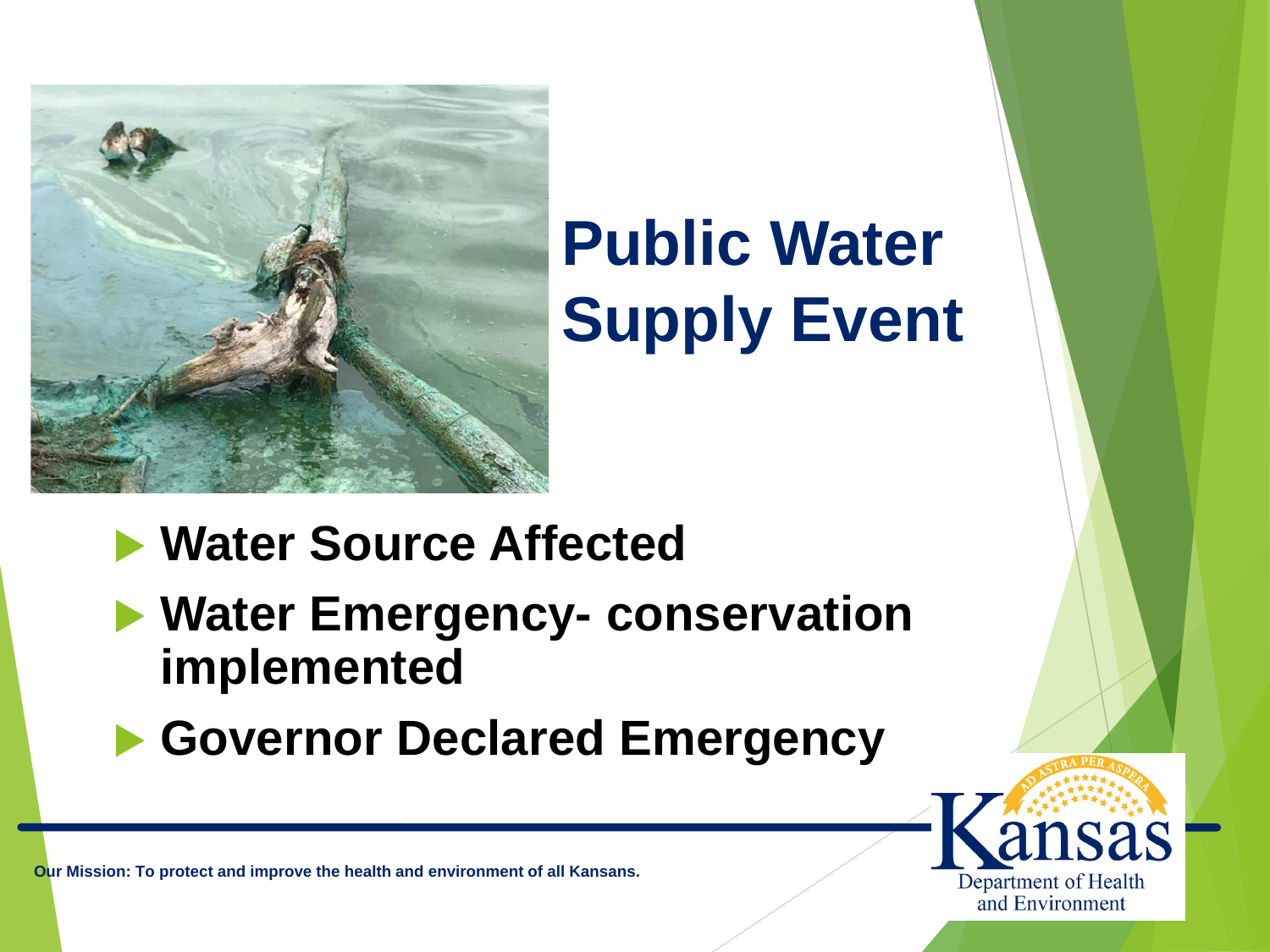

#### **Water Source Affected**

- **Water Emergency- conservation implemented**
- **Governor Declared Emergency**

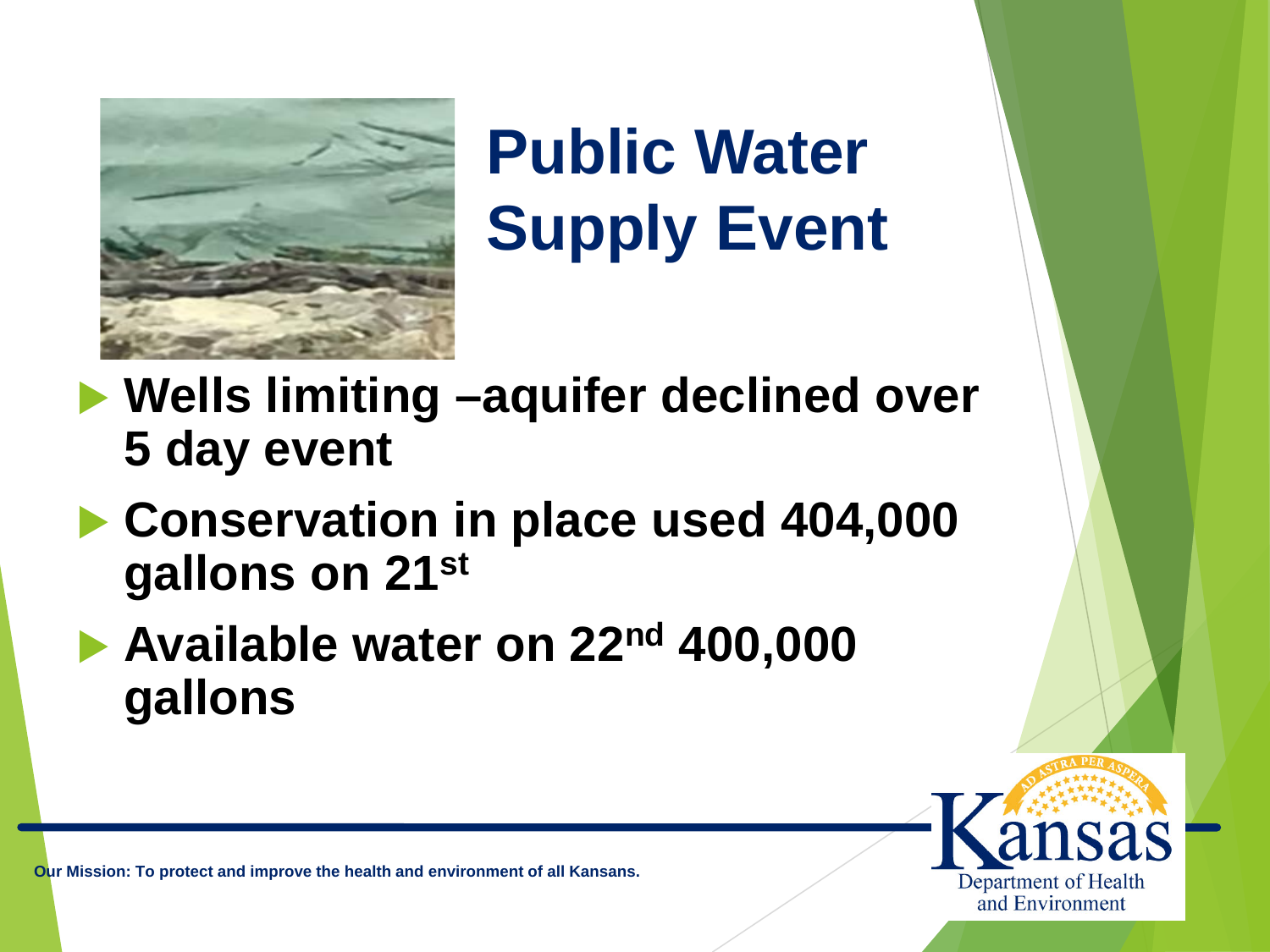

 **Wells limiting –aquifer declined over 5 day event**

- **Conservation in place used 404,000 gallons on 21st**
- **Available water on 22nd 400,000 gallons**

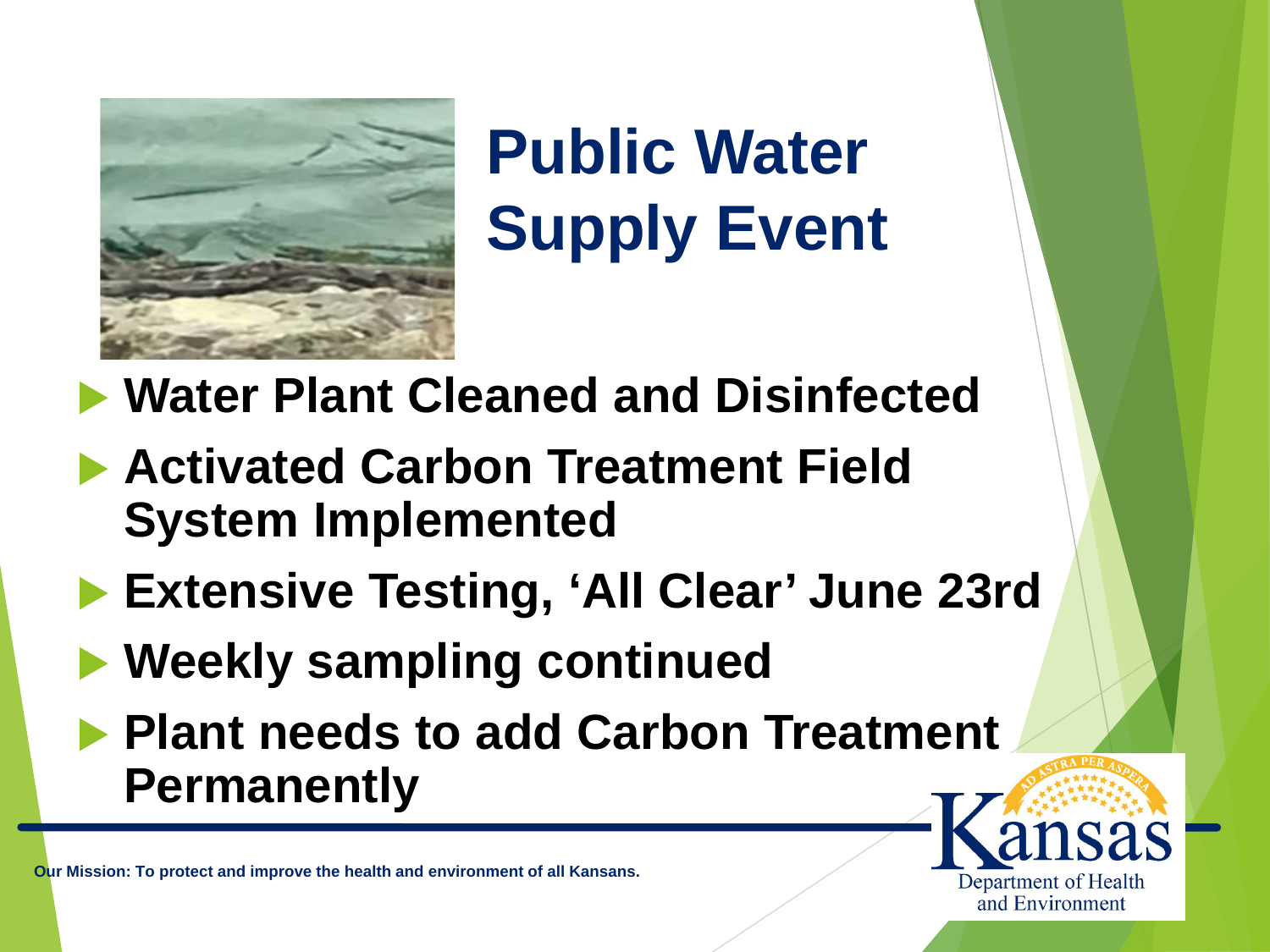

**Water Plant Cleaned and Disinfected**

- **Activated Carbon Treatment Field System Implemented**
- **Extensive Testing, 'All Clear' June 23rd**
- **Weekly sampling continued**
- **Plant needs to add Carbon Treatment Permanently**

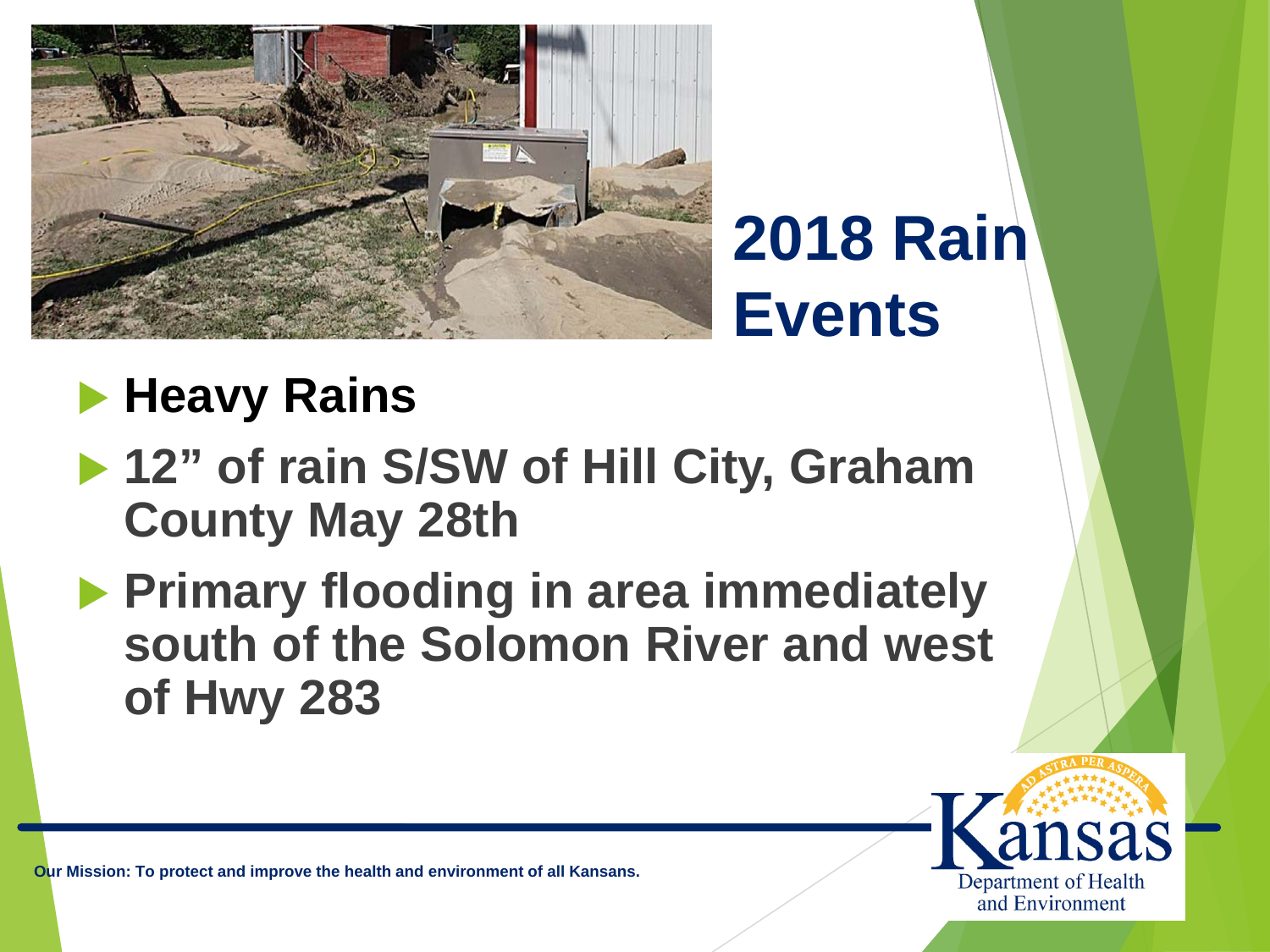

# **2018 Rain Events**

## **Heavy Rains**

- ▶ 12" of rain S/SW of Hill City, Graham **County May 28th**
- **Primary flooding in area immediately south of the Solomon River and west of Hwy 283**

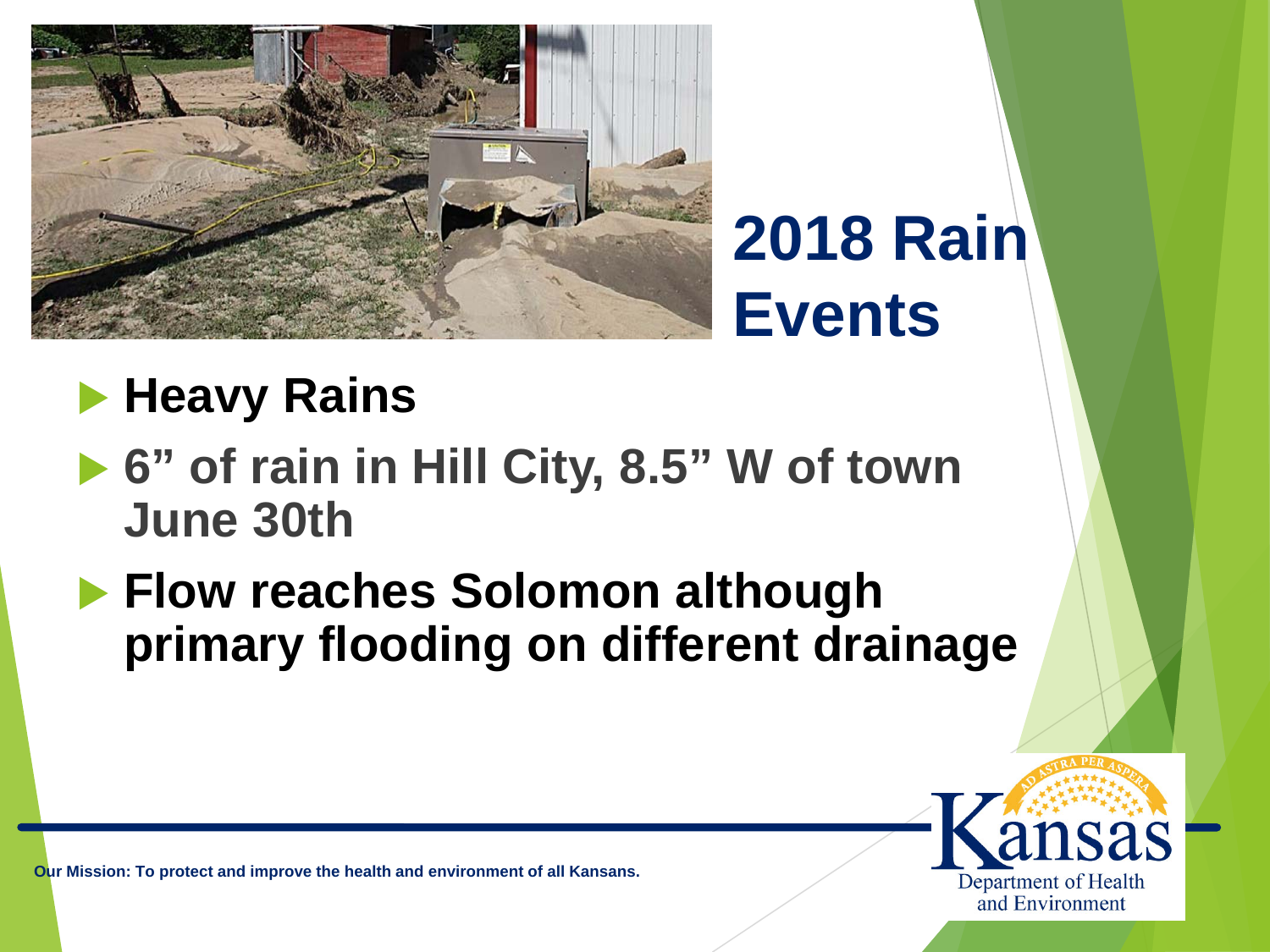

# **2018 Rain Events**

### **Heavy Rains**

- ▶ 6" of rain in Hill City, 8.5" W of town **June 30th**
- **Flow reaches Solomon although primary flooding on different drainage**

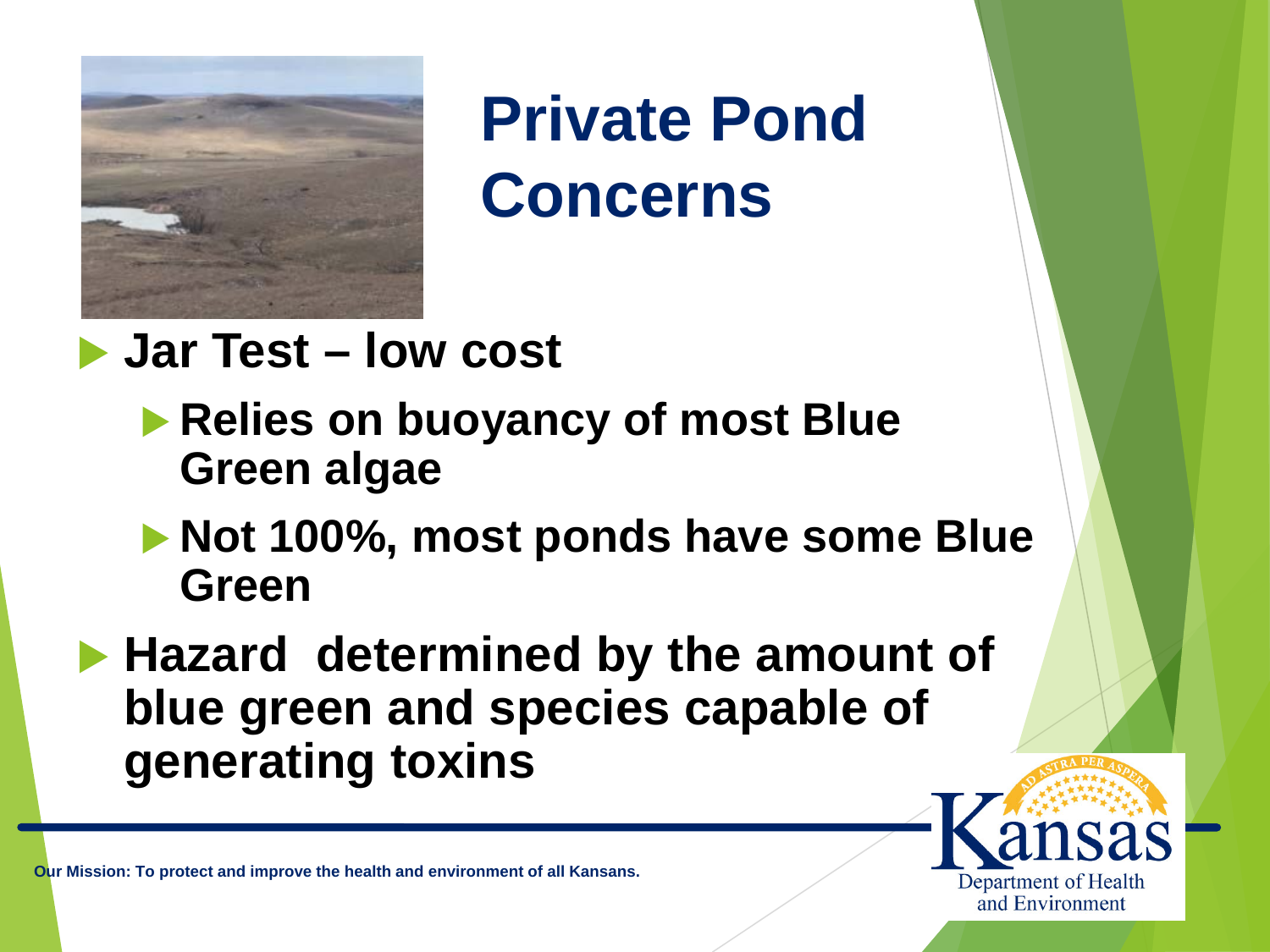

**Private Pond Concerns**

- **Jar Test – low cost**
	- **Relies on buoyancy of most Blue Green algae**
	- **Not 100%, most ponds have some Blue Green**
- **Hazard determined by the amount of blue green and species capable of generating toxins**

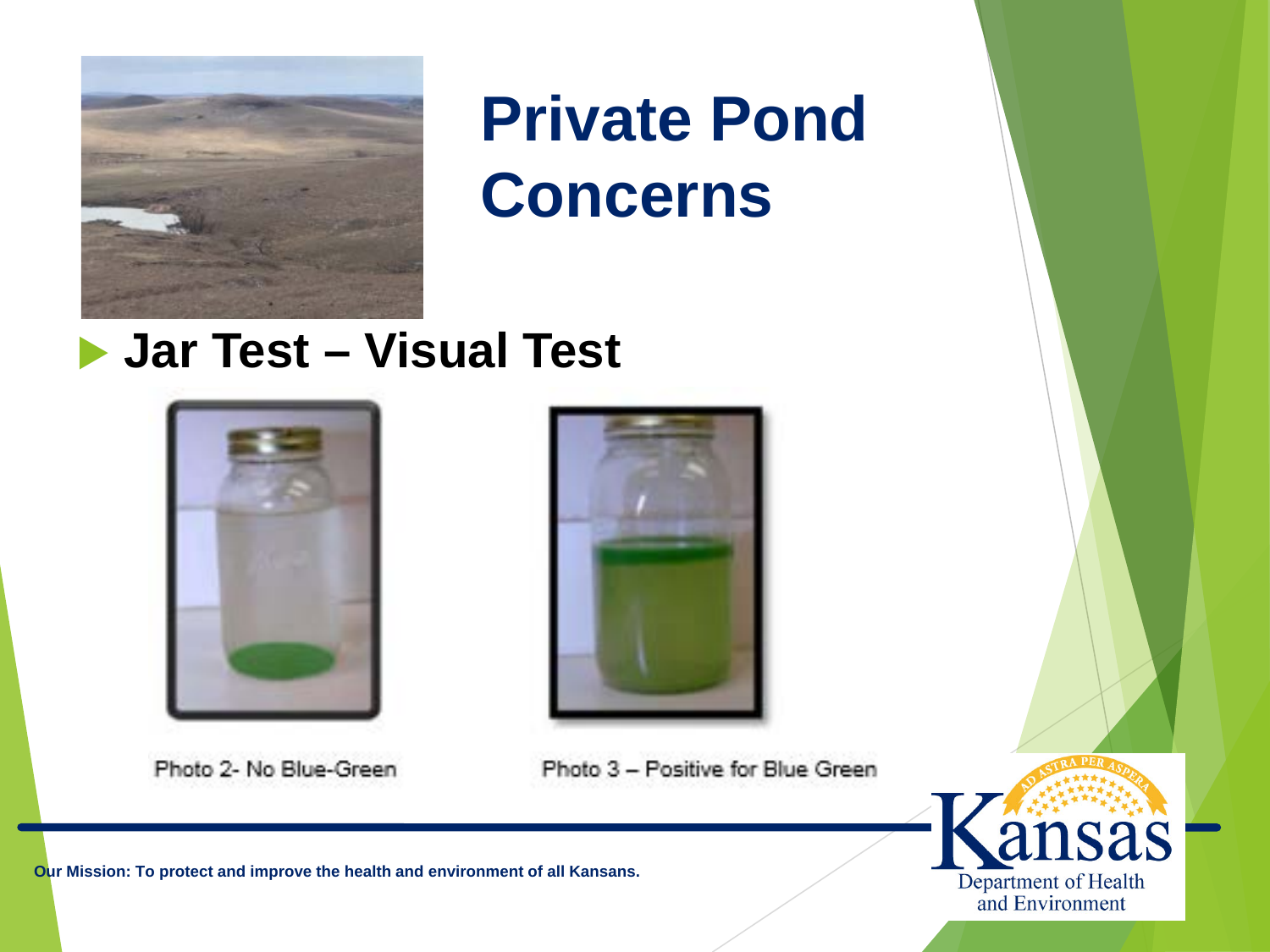

## **Private Pond Concerns**

#### **Jar Test – Visual Test**



Photo 2- No Blue-Green





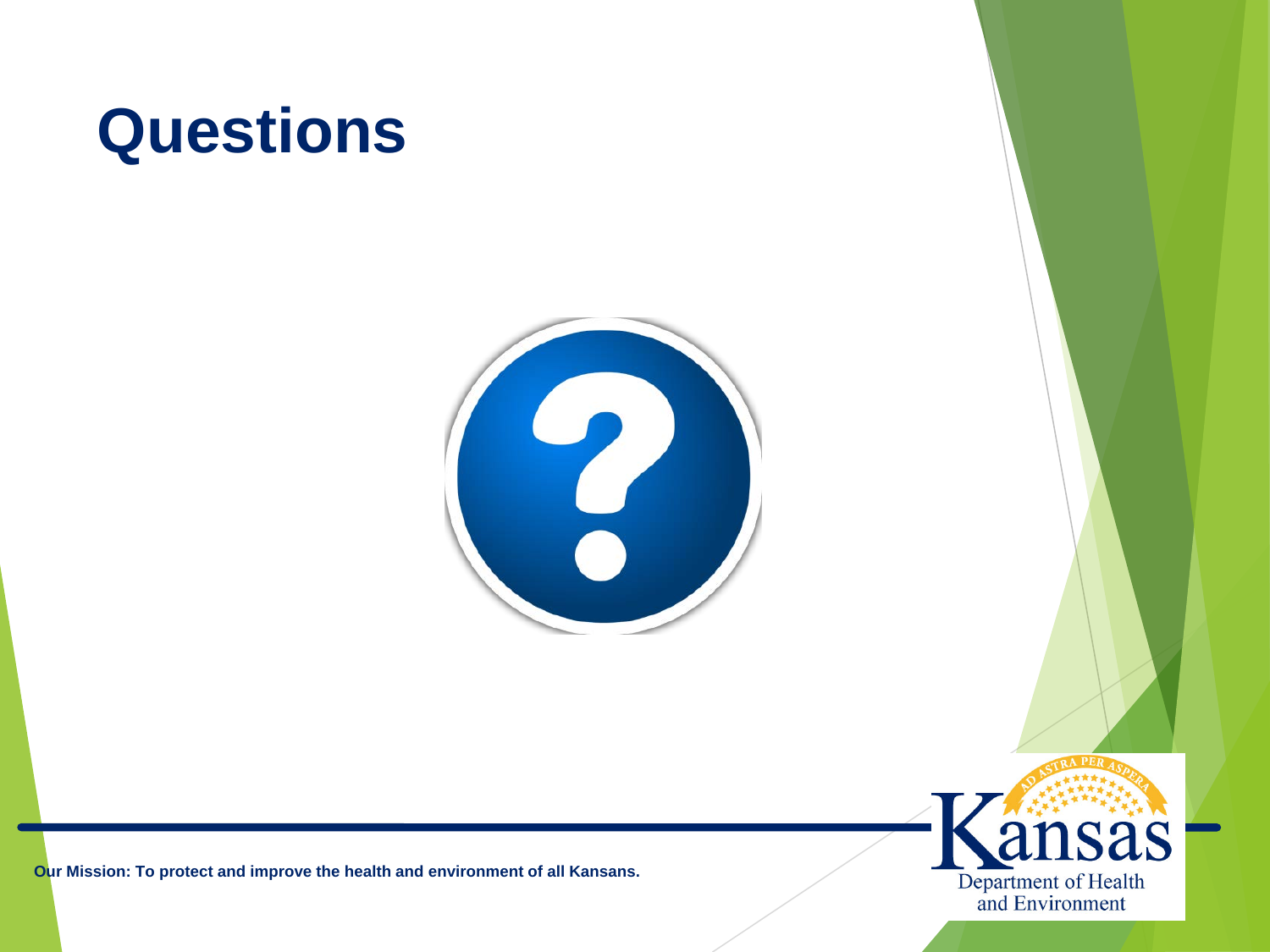# **Questions**